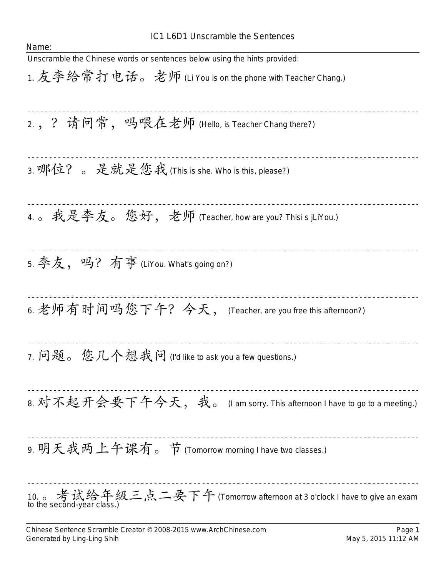## IC1 L6D1 Unscramble the Sentences

| Name:                                                                                                  |
|--------------------------------------------------------------------------------------------------------|
| Unscramble the Chinese words or sentences below using the hints provided:                              |
| 1. 友李给常打电话。老师 (Li You is on the phone with Teacher Chang.)                                             |
| 2, ? 请问常, 吗喂在老师 (Hello, is Teacher Chang there?)                                                       |
| 3. 哪位? 。 是就是您我 (This is she. Who is this, please?)                                                     |
| 4.。我是李友。您好,老师 (Teacher, how are you? Thisi s jLiYou.)                                                  |
| 5. 李友, 吗? 有事 (LiYou. What's going on?)                                                                 |
| 6. 老师有时间吗您下午? 今天, (Teacher, are you free this afternoon?)                                              |
| 7. 问题。您几个想我问(l'd like to ask you a few questions.)                                                     |
| 8. 对不起开会要下午今天, 我。 (I am sorry. This afternoon I have to go to a meeting.)                              |
| 9. 明天我两上午课有。节 (Tomorrow morning I have two classes.)                                                   |
| 10. 。考试给年级三点二要下午 (Tomorrow afternoon at 3 o'clock I have to give an exam<br>to the second-year class.) |